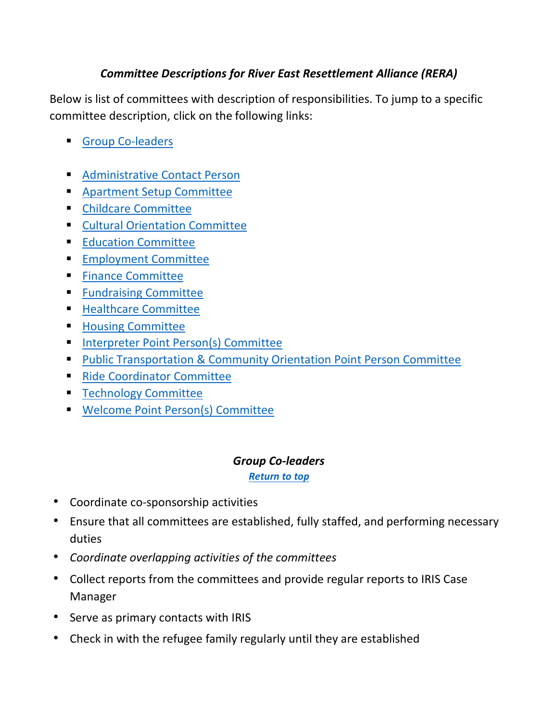# *Committee Descriptions for River East Resettlement Alliance (RERA)*

<span id="page-0-1"></span>Below is list of committees with description of responsibilities. To jump to a specific committee description, click on the following links:

- [Group Co-leaders](#page-0-0)
- **[Administrative Contact Person](#page-1-0)**
- **[Apartment Setup Committee](#page-1-1)**
- **[Childcare Committee](#page-1-2)**
- **[Cultural Orientation Committee](#page-1-3)**
- **[Education Committee](#page-2-0)**
- **[Employment Committee](#page-2-1)**
- **[Finance Committee](#page-2-2)**
- **[Fundraising](#page-3-0) Committee**
- **[Healthcare Committee](#page-3-1)**
- **Housing [Committee](#page-4-0)**
- **[Interpreter Point Person\(s\)](#page-4-1) Committee**
- **[Public Transportation & Community Orientation Point Person](#page-4-2) Committee**
- [Ride Coordinator](#page-5-0) Committee
- **[Technology](#page-5-1) Committee**
- [Welcome Point Person\(s\)](#page-5-2) Committee

#### *Group Co-leaders*

*[Return to top](#page-0-1)*

- <span id="page-0-0"></span>• Coordinate co-sponsorship activities
- Ensure that all committees are established, fully staffed, and performing necessary duties
- *Coordinate overlapping activities of the committees*
- Collect reports from the committees and provide regular reports to IRIS Case Manager
- Serve as primary contacts with IRIS
- Check in with the refugee family regularly until they are established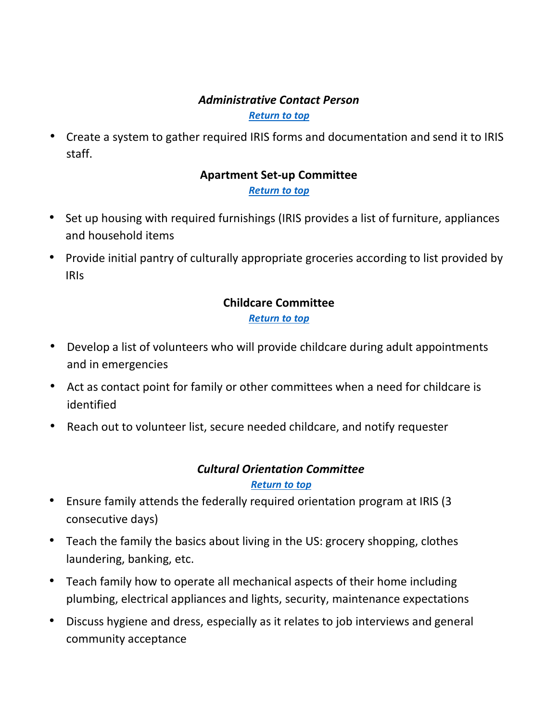# *Administrative Contact Person*

#### *[Return to top](#page-0-1)*

<span id="page-1-1"></span><span id="page-1-0"></span>• Create a system to gather required IRIS forms and documentation and send it to IRIS staff.

# **Apartment Set-up Committee**

#### *[Return to top](#page-0-1)*

- Set up housing with required furnishings (IRIS provides a list of furniture, appliances and household items
- <span id="page-1-2"></span>• Provide initial pantry of culturally appropriate groceries according to list provided by IRIs

#### **Childcare Committee** *[Return to top](#page-0-1)*

- Develop a list of volunteers who will provide childcare during adult appointments and in emergencies
- Act as contact point for family or other committees when a need for childcare is identified
- Reach out to volunteer list, secure needed childcare, and notify requester

# *Cultural Orientation Committee*

#### *[Return to top](#page-0-1)*

- <span id="page-1-3"></span>• Ensure family attends the federally required orientation program at IRIS (3 consecutive days)
- Teach the family the basics about living in the US: grocery shopping, clothes laundering, banking, etc.
- Teach family how to operate all mechanical aspects of their home including plumbing, electrical appliances and lights, security, maintenance expectations
- Discuss hygiene and dress, especially as it relates to job interviews and general community acceptance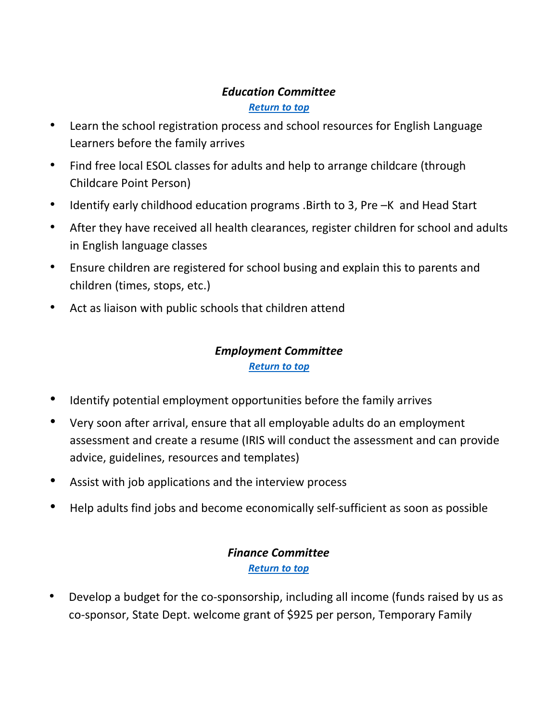## *Education Committee*

#### *[Return to top](#page-0-1)*

- <span id="page-2-0"></span>• Learn the school registration process and school resources for English Language Learners before the family arrives
- Find free local ESOL classes for adults and help to arrange childcare (through Childcare Point Person)
- Identify early childhood education programs .Birth to 3, Pre –K and Head Start
- After they have received all health clearances, register children for school and adults in English language classes
- Ensure children are registered for school busing and explain this to parents and children (times, stops, etc.)
- Act as liaison with public schools that children attend

# *Employment Committee*

#### <span id="page-2-1"></span>*[Return to top](#page-0-1)*

- Identify potential employment opportunities before the family arrives
- Very soon after arrival, ensure that all employable adults do an employment assessment and create a resume (IRIS will conduct the assessment and can provide advice, guidelines, resources and templates)
- Assist with job applications and the interview process
- <span id="page-2-2"></span>• Help adults find jobs and become economically self-sufficient as soon as possible

#### *Finance Committee [Return to top](#page-0-1)*

• Develop a budget for the co-sponsorship, including all income (funds raised by us as co-sponsor, State Dept. welcome grant of \$925 per person, Temporary Family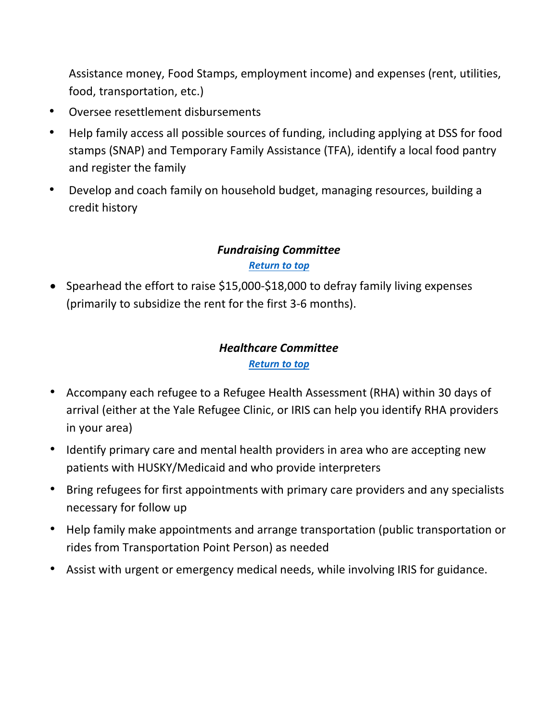Assistance money, Food Stamps, employment income) and expenses (rent, utilities, food, transportation, etc.)

- Oversee resettlement disbursements
- Help family access all possible sources of funding, including applying at DSS for food stamps (SNAP) and Temporary Family Assistance (TFA), identify a local food pantry and register the family
- Develop and coach family on household budget, managing resources, building a credit history

# *Fundraising Committee [Return to top](#page-0-1)*

<span id="page-3-0"></span>• Spearhead the effort to raise \$15,000-\$18,000 to defray family living expenses (primarily to subsidize the rent for the first 3-6 months).

## *Healthcare Committee [Return to top](#page-0-1)*

- <span id="page-3-1"></span>• Accompany each refugee to a Refugee Health Assessment (RHA) within 30 days of arrival (either at the Yale Refugee Clinic, or IRIS can help you identify RHA providers in your area)
- Identify primary care and mental health providers in area who are accepting new patients with HUSKY/Medicaid and who provide interpreters
- Bring refugees for first appointments with primary care providers and any specialists necessary for follow up
- Help family make appointments and arrange transportation (public transportation or rides from Transportation Point Person) as needed
- Assist with urgent or emergency medical needs, while involving IRIS for guidance.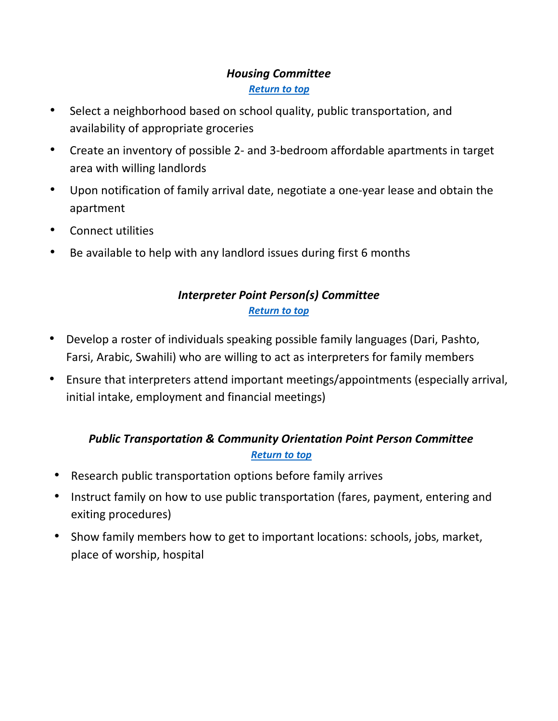## *Housing Committee [Return to top](#page-0-1)*

- <span id="page-4-0"></span>• Select a neighborhood based on school quality, public transportation, and availability of appropriate groceries
- Create an inventory of possible 2- and 3-bedroom affordable apartments in target area with willing landlords
- Upon notification of family arrival date, negotiate a one-year lease and obtain the apartment
- Connect utilities
- <span id="page-4-1"></span>• Be available to help with any landlord issues during first 6 months

# *Interpreter Point Person(s) Committee [Return to top](#page-0-1)*

- Develop a roster of individuals speaking possible family languages (Dari, Pashto, Farsi, Arabic, Swahili) who are willing to act as interpreters for family members
- Ensure that interpreters attend important meetings/appointments (especially arrival, initial intake, employment and financial meetings)

# *Public Transportation & Community Orientation Point Person Committee [Return to top](#page-0-1)*

- <span id="page-4-2"></span>• Research public transportation options before family arrives
- Instruct family on how to use public transportation (fares, payment, entering and exiting procedures)
- Show family members how to get to important locations: schools, jobs, market, place of worship, hospital